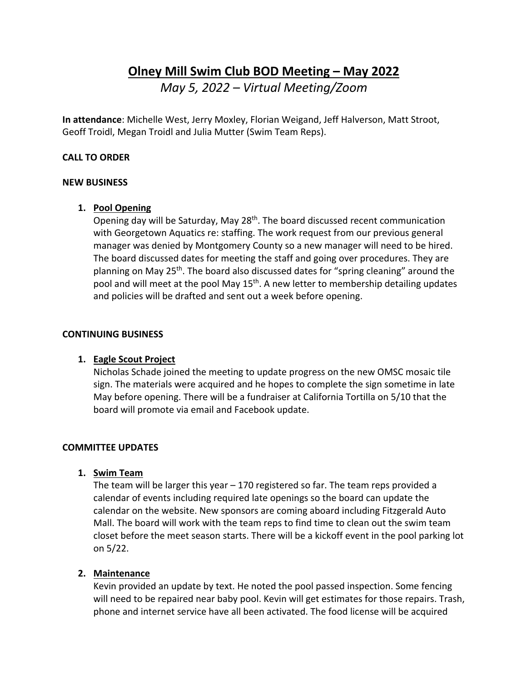# **Olney Mill Swim Club BOD Meeting – May 2022** *May 5, 2022 – Virtual Meeting/Zoom*

**In attendance**: Michelle West, Jerry Moxley, Florian Weigand, Jeff Halverson, Matt Stroot, Geoff Troidl, Megan Troidl and Julia Mutter (Swim Team Reps).

#### **CALL TO ORDER**

#### **NEW BUSINESS**

#### **1. Pool Opening**

Opening day will be Saturday, May 28<sup>th</sup>. The board discussed recent communication with Georgetown Aquatics re: staffing. The work request from our previous general manager was denied by Montgomery County so a new manager will need to be hired. The board discussed dates for meeting the staff and going over procedures. They are planning on May 25th. The board also discussed dates for "spring cleaning" around the pool and will meet at the pool May 15<sup>th</sup>. A new letter to membership detailing updates and policies will be drafted and sent out a week before opening.

#### **CONTINUING BUSINESS**

#### **1. Eagle Scout Project**

Nicholas Schade joined the meeting to update progress on the new OMSC mosaic tile sign. The materials were acquired and he hopes to complete the sign sometime in late May before opening. There will be a fundraiser at California Tortilla on 5/10 that the board will promote via email and Facebook update.

#### **COMMITTEE UPDATES**

#### **1. Swim Team**

The team will be larger this year – 170 registered so far. The team reps provided a calendar of events including required late openings so the board can update the calendar on the website. New sponsors are coming aboard including Fitzgerald Auto Mall. The board will work with the team reps to find time to clean out the swim team closet before the meet season starts. There will be a kickoff event in the pool parking lot on 5/22.

# **2. Maintenance**

Kevin provided an update by text. He noted the pool passed inspection. Some fencing will need to be repaired near baby pool. Kevin will get estimates for those repairs. Trash, phone and internet service have all been activated. The food license will be acquired